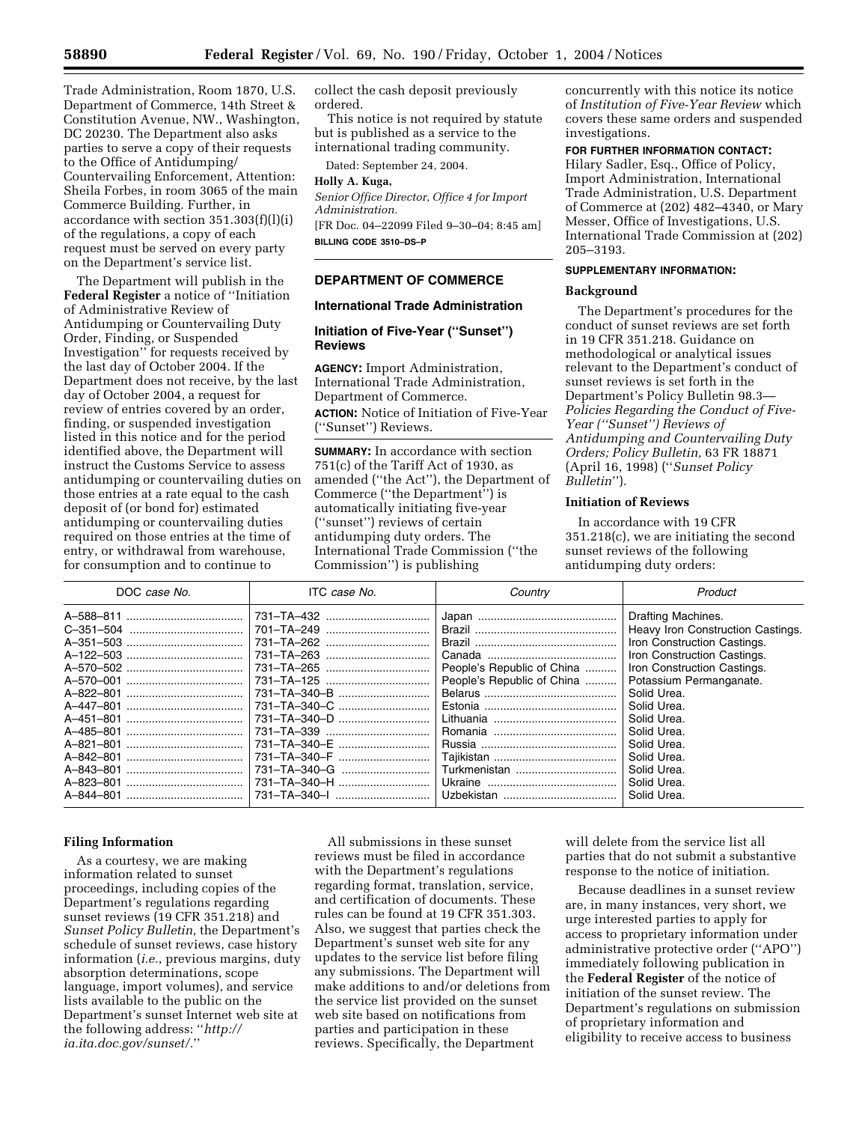Trade Administration, Room 1870, U.S. Department of Commerce, 14th Street & Constitution Avenue, NW., Washington, DC 20230. The Department also asks parties to serve a copy of their requests to the Office of Antidumping/ Countervailing Enforcement, Attention: Sheila Forbes, in room 3065 of the main Commerce Building. Further, in accordance with section 351.303(f)(l)(i) of the regulations, a copy of each request must be served on every party on the Department's service list.

The Department will publish in the **Federal Register** a notice of ''Initiation of Administrative Review of Antidumping or Countervailing Duty Order, Finding, or Suspended Investigation'' for requests received by the last day of October 2004. If the Department does not receive, by the last day of October 2004, a request for review of entries covered by an order, finding, or suspended investigation listed in this notice and for the period identified above, the Department will instruct the Customs Service to assess antidumping or countervailing duties on those entries at a rate equal to the cash deposit of (or bond for) estimated antidumping or countervailing duties required on those entries at the time of entry, or withdrawal from warehouse, for consumption and to continue to

collect the cash deposit previously ordered.

This notice is not required by statute but is published as a service to the international trading community.

Dated: September 24, 2004.

#### **Holly A. Kuga,**

*Senior Office Director, Office 4 for Import Administration.*

[FR Doc. 04–22099 Filed 9–30–04; 8:45 am] **BILLING CODE 3510–DS–P**

## **DEPARTMENT OF COMMERCE**

### **International Trade Administration**

### **Initiation of Five-Year (''Sunset'') Reviews**

**AGENCY:** Import Administration, International Trade Administration, Department of Commerce.

**ACTION:** Notice of Initiation of Five-Year (''Sunset'') Reviews.

**SUMMARY:** In accordance with section 751(c) of the Tariff Act of 1930, as amended (''the Act''), the Department of Commerce (''the Department'') is automatically initiating five-year (''sunset'') reviews of certain antidumping duty orders. The International Trade Commission (''the Commission'') is publishing

concurrently with this notice its notice of *Institution of Five-Year Review* which covers these same orders and suspended investigations.

# **FOR FURTHER INFORMATION CONTACT:**

Hilary Sadler, Esq., Office of Policy, Import Administration, International Trade Administration, U.S. Department of Commerce at (202) 482–4340, or Mary Messer, Office of Investigations, U.S. International Trade Commission at (202) 205–3193.

## **SUPPLEMENTARY INFORMATION:**

## **Background**

The Department's procedures for the conduct of sunset reviews are set forth in 19 CFR 351.218. Guidance on methodological or analytical issues relevant to the Department's conduct of sunset reviews is set forth in the Department's Policy Bulletin 98.3— *Policies Regarding the Conduct of Five-Year (''Sunset'') Reviews of Antidumping and Countervailing Duty Orders; Policy Bulletin,* 63 FR 18871 (April 16, 1998) (''*Sunset Policy Bulletin*'').

#### **Initiation of Reviews**

In accordance with 19 CFR 351.218(c), we are initiating the second sunset reviews of the following antidumping duty orders:

| DOC case No.  | ITC case No.                                                                                                                                                                                                                   | Country                                                                  | Product                                                                                                                                                                                                                                                                                                                |
|---------------|--------------------------------------------------------------------------------------------------------------------------------------------------------------------------------------------------------------------------------|--------------------------------------------------------------------------|------------------------------------------------------------------------------------------------------------------------------------------------------------------------------------------------------------------------------------------------------------------------------------------------------------------------|
| A-844-801<br> | 731–TA–432<br>701-TA-249<br>731-TA-262<br>731-TA-263<br>731-TA-265<br>731–TA–125<br>731-TA-340-B<br>731-TA-340-C<br>731-TA-340-D<br>731-TA-339<br>731-TA-340-E<br>731-TA-340-F<br>731-TA-340-G<br>731-TA-340-H<br>731–TA–340–I | People's Republic of China<br>People's Republic of China<br>Turkmenistan | Drafting Machines.<br>Heavy Iron Construction Castings.<br>Iron Construction Castings.<br>Iron Construction Castings.<br>Iron Construction Castings.<br>Potassium Permanganate.<br>Solid Urea.<br>Solid Urea.<br>Solid Urea.<br>Solid Urea.<br>Solid Urea.<br>Solid Urea.<br>Solid Urea.<br>Solid Urea.<br>Solid Urea. |
|               |                                                                                                                                                                                                                                |                                                                          |                                                                                                                                                                                                                                                                                                                        |

#### **Filing Information**

As a courtesy, we are making information related to sunset proceedings, including copies of the Department's regulations regarding sunset reviews (19 CFR 351.218) and *Sunset Policy Bulletin,* the Department's schedule of sunset reviews, case history information (*i.e.*, previous margins, duty absorption determinations, scope language, import volumes), and service lists available to the public on the Department's sunset Internet web site at the following address: ''*http:// ia.ita.doc.gov/sunset/.*''

All submissions in these sunset reviews must be filed in accordance with the Department's regulations regarding format, translation, service, and certification of documents. These rules can be found at 19 CFR 351.303. Also, we suggest that parties check the Department's sunset web site for any updates to the service list before filing any submissions. The Department will make additions to and/or deletions from the service list provided on the sunset web site based on notifications from parties and participation in these reviews. Specifically, the Department

will delete from the service list all parties that do not submit a substantive response to the notice of initiation.

Because deadlines in a sunset review are, in many instances, very short, we urge interested parties to apply for access to proprietary information under administrative protective order (''APO'') immediately following publication in the **Federal Register** of the notice of initiation of the sunset review. The Department's regulations on submission of proprietary information and eligibility to receive access to business